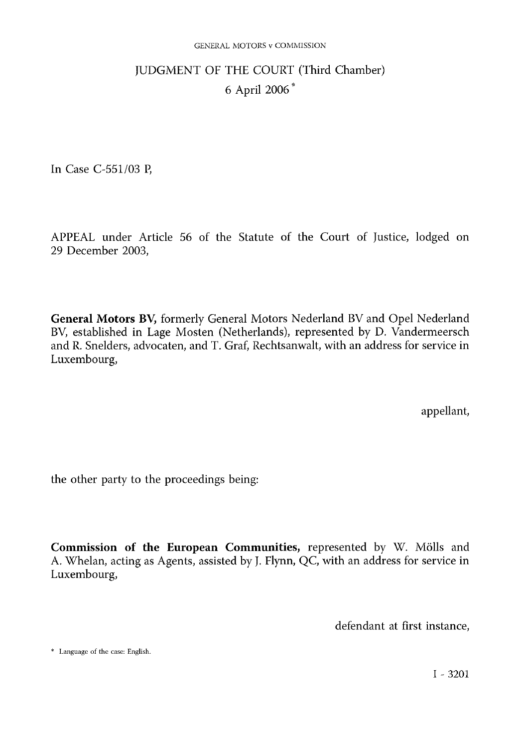#### GENERAL MOTORS v COMMISSION

# JUDGMENT OF THE COURT (Third Chamber) 6 April 2006 \*

In Case C-551/03 P,

APPEAL under Article 56 of the Statute of the Court of Justice, lodged on 29 December 2003,

General Motors BV, formerly General Motors Nederland BV and Opel Nederland BV, established in Lage Mosten (Netherlands), represented by D. Vandermeersch and R. Snelders, advocaten, and T. Graf, Rechtsanwalt, with an address for service in Luxembourg,

appellant,

the other party to the proceedings being:

Commission of the European Communities, represented by W. Mölls and A. Whelan, acting as Agents, assisted by J. Flynn, QC, with an address for service in Luxembourg,

defendant at first instance,

\* Language of the case: English.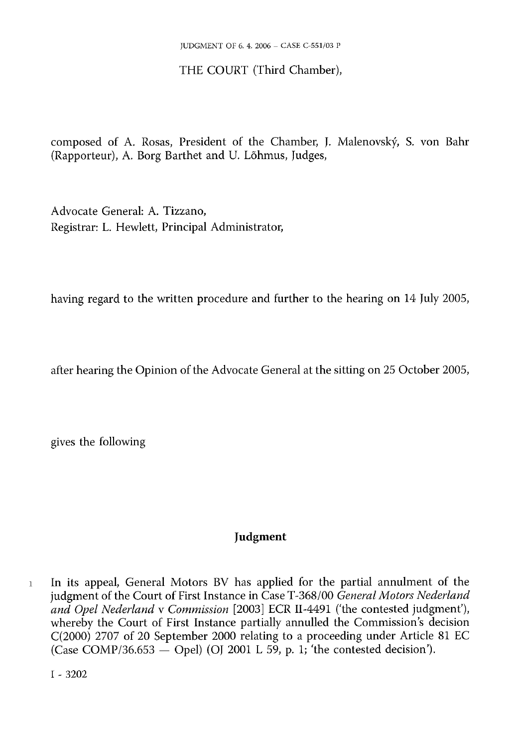# THE COURT (Third Chamber),

composed of A. Rosas, President of the Chamber, J. Malenovský, S. von Bahr (Rapporteur), A. Borg Barthet and U. Lõhmus, Judges,

Advocate General: A. Tizzano, Registrar: L. Hewlett, Principal Administrator,

having regard to the written procedure and further to the hearing on 14 July 2005,

after hearing the Opinion of the Advocate General at the sitting on 25 October 2005,

gives the following

# Judgment

<sup>1</sup> In its appeal, General Motors BV has applied for the partial annulment of the judgment of the Court of First Instance in Case T-368/00 *General Motors Nederland and Opel Nederland* v *Commission* [2003] ECR II-4491 ('the contested judgment'), whereby the Court of First Instance partially annulled the Commission's decision C(2000) 2707 of 20 September 2000 relating to a proceeding under Article 81 EC (Case COMP/36.653  $-$  Opel) (OJ 2001 L 59, p. 1; 'the contested decision').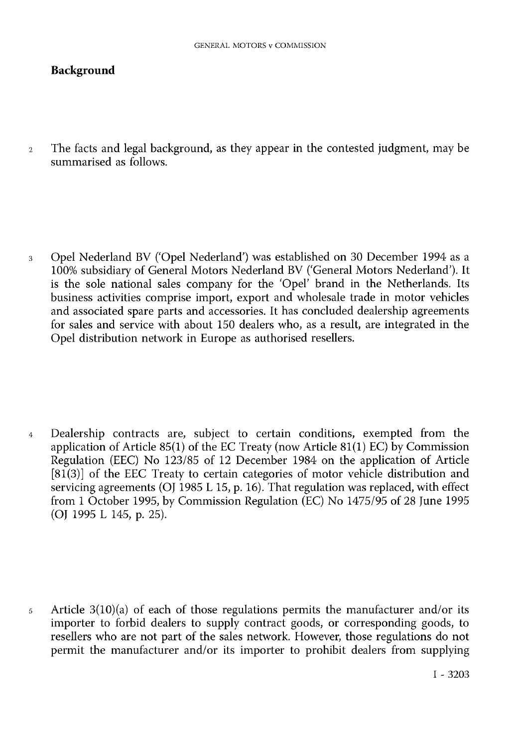# Background

<sup>2</sup> The facts and legal background, as they appear in the contested judgment, may be summarised as follows.

<sup>3</sup> Opel Nederland BV ('Opel Nederland') was established on 30 December 1994 as a 100% subsidiary of General Motors Nederland BV ('General Motors Nederland'). It is the sole national sales company for the 'Opel' brand in the Netherlands. Its business activities comprise import, export and wholesale trade in motor vehicles and associated spare parts and accessories. It has concluded dealership agreements for sales and service with about 150 dealers who, as a result, are integrated in the Opel distribution network in Europe as authorised resellers.

<sup>4</sup> Dealership contracts are, subject to certain conditions, exempted from the application of Article 85(1) of the EC Treaty (now Article 81(1) EC) by Commission Regulation (EEC) No 123/85 of 12 December 1984 on the application of Article [81(3)] of the EEC Treaty to certain categories of motor vehicle distribution and servicing agreements (OJ 1985 L 15, p. 16). That regulation was replaced, with effect from 1 October 1995, by Commission Regulation (EC) No 1475/95 of 28 June 1995 (OJ 1995 L 145, p. 25).

<sup>5</sup> Article 3(10)(a) of each of those regulations permits the manufacturer and/or its importer to forbid dealers to supply contract goods, or corresponding goods, to resellers who are not part of the sales network. However, those regulations do not permit the manufacturer and/or its importer to prohibit dealers from supplying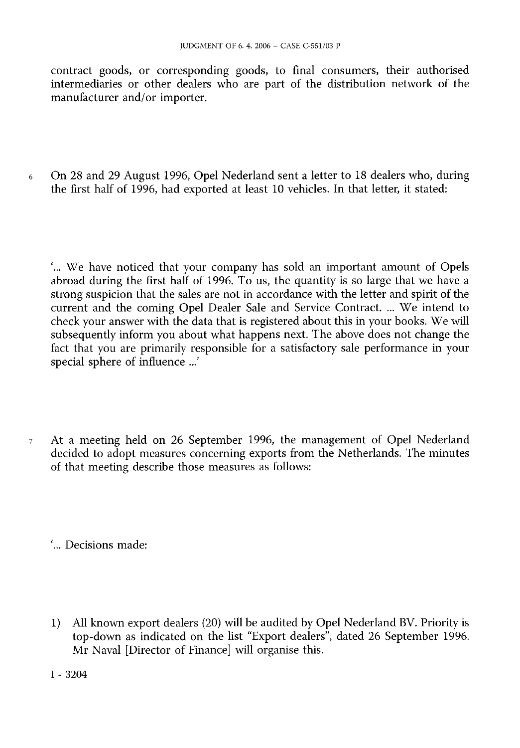contract goods, or corresponding goods, to final consumers, their authorised intermediaries or other dealers who are part of the distribution network of the manufacturer and/or importer.

<sup>6</sup> On 28 and 29 August 1996, Opel Nederland sent a letter to 18 dealers who, during the first half of 1996, had exported at least 10 vehicles. In that letter, it stated:

'... We have noticed that your company has sold an important amount of Opels abroad during the first half of 1996. To us, the quantity is so large that we have a strong suspicion that the sales are not in accordance with the letter and spirit of the current and the coming Opel Dealer Sale and Service Contract. ... We intend to check your answer with the data that is registered about this in your books. We will subsequently inform you about what happens next. The above does not change the fact that you are primarily responsible for a satisfactory sale performance in your special sphere of influence ...'

<sup>7</sup> At a meeting held on 26 September 1996, the management of Opel Nederland decided to adopt measures concerning exports from the Netherlands. The minutes of that meeting describe those measures as follows:

'... Decisions made:

1) All known export dealers (20) will be audited by Opel Nederland BV. Priority is top-down as indicated on the list "Export dealers", dated 26 September 1996. Mr Naval [Director of Finance] will organise this.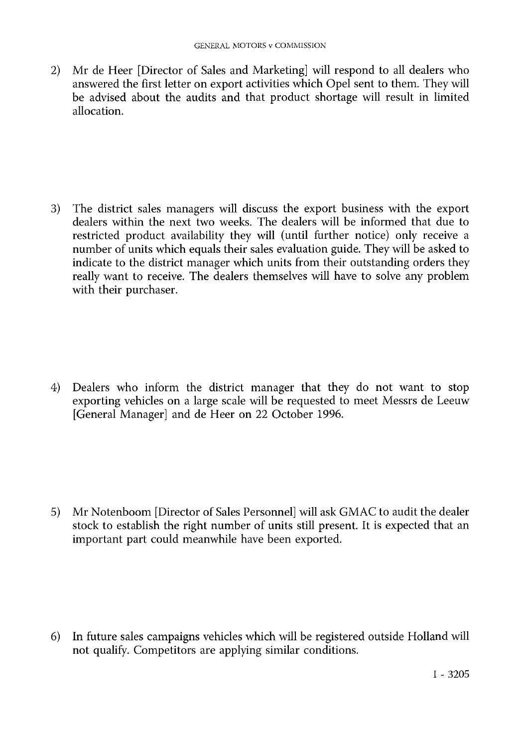2) Mr de Heer [Director of Sales and Marketing] will respond to all dealers who answered the first letter on export activities which Opel sent to them. They will be advised about the audits and that product shortage will result in limited allocation.

3) The district sales managers will discuss the export business with the export dealers within the next two weeks. The dealers will be informed that due to restricted product availability they will (until further notice) only receive a number of units which equals their sales evaluation guide. They will be asked to indicate to the district manager which units from their outstanding orders they really want to receive. The dealers themselves will have to solve any problem with their purchaser.

4) Dealers who inform the district manager that they do not want to stop exporting vehicles on a large scale will be requested to meet Messrs de Leeuw [General Manager] and de Heer on 22 October 1996.

5) Mr Notenboom [Director of Sales Personnel] will ask GMAC to audit the dealer stock to establish the right number of units still present. It is expected that an important part could meanwhile have been exported.

6) In future sales campaigns vehicles which will be registered outside Holland will not qualify. Competitors are applying similar conditions.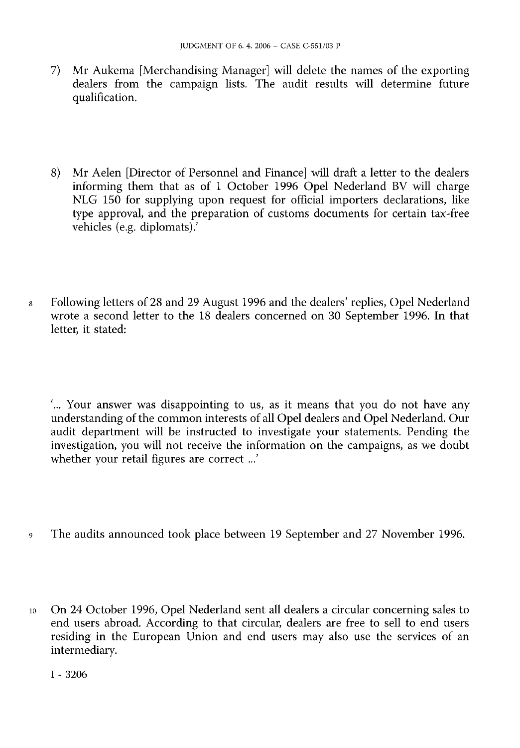- 7) Mr Aukema [Merchandising Manager] will delete the names of the exporting dealers from the campaign lists. The audit results will determine future qualification.
- 8) Mr Aelen [Director of Personnel and Finance] will draft a letter to the dealers informing them that as of 1 October 1996 Opel Nederland BV will charge NLG 150 for supplying upon request for official importers declarations, like type approval, and the preparation of customs documents for certain tax-free vehicles (e.g. diplomats).'
- <sup>8</sup> Following letters of 28 and 29 August 1996 and the dealers' replies, Opel Nederland wrote a second letter to the 18 dealers concerned on 30 September 1996. In that letter, it stated:

'... Your answer was disappointing to us, as it means that you do not have any understanding of the common interests of all Opel dealers and Opel Nederland. Our audit department will be instructed to investigate your statements. Pending the investigation, you will not receive the information on the campaigns, as we doubt whether your retail figures are correct ...'

- <sup>9</sup> The audits announced took place between 19 September and 27 November 1996.
- <sup>10</sup> On 24 October 1996, Opel Nederland sent all dealers a circular concerning sales to end users abroad. According to that circular, dealers are free to sell to end users residing in the European Union and end users may also use the services of an intermediary.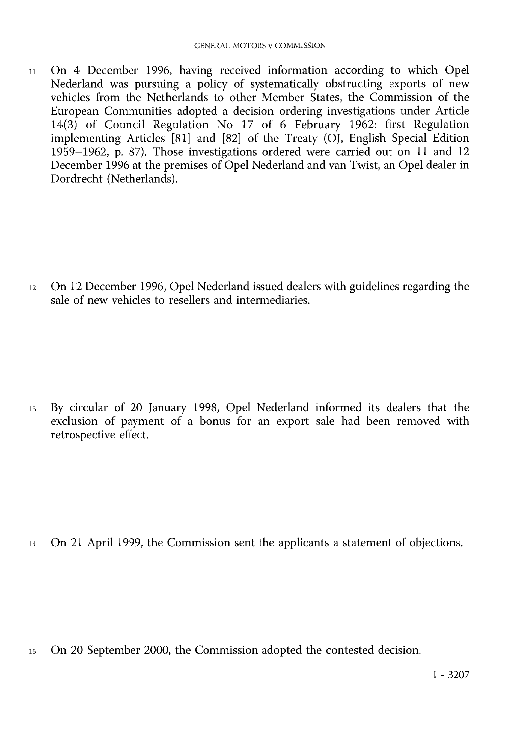<sup>11</sup> On 4 December 1996, having received information according to which Opel Nederland was pursuing a policy of systematically obstructing exports of new vehicles from the Netherlands to other Member States, the Commission of the European Communities adopted a decision ordering investigations under Article 14(3) of Council Regulation No 17 of 6 February 1962: first Regulation implementing Articles  $[81]$  and  $[82]$  of the Treaty (OJ, English Special Edition 1959–1962, p. 87). Those investigations ordered were carried out on 11 and 12 December 1996 at the premises of Opel Nederland and van Twist, an Opel dealer in Dordrecht (Netherlands).

<sup>12</sup> On 12 December 1996, Opel Nederland issued dealers with guidelines regarding the sale of new vehicles to resellers and intermediaries.

<sup>13</sup> By circular of 20 January 1998, Opel Nederland informed its dealers that the exclusion of payment of a bonus for an export sale had been removed with retrospective effect.

<sup>14</sup> On 21 April 1999, the Commission sent the applicants a statement of objections.

<sup>15</sup> On 20 September 2000, the Commission adopted the contested decision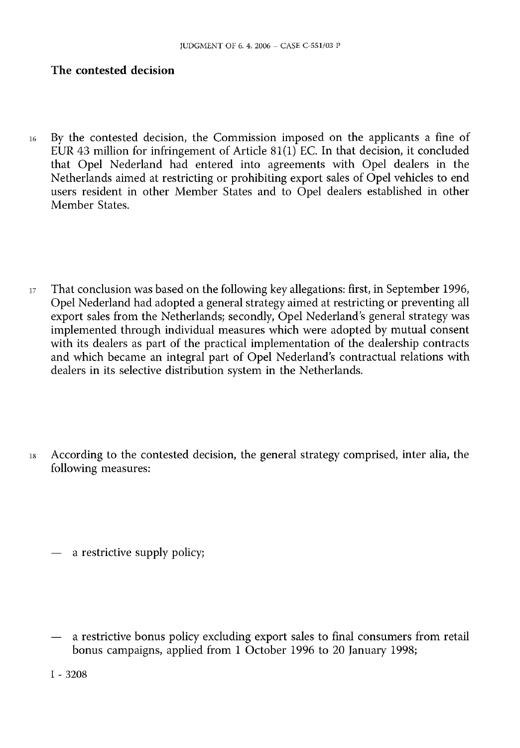#### The contested decision

- <sup>16</sup> By the contested decision, the Commission imposed on the applicants a fine of EUR 43 million for infringement of Article 81(1) EC. In that decision, it concluded that Opel Nederland had entered into agreements with Opel dealers in the Netherlands aimed at restricting or prohibiting export sales of Opel vehicles to end users resident in other Member States and to Opel dealers established in other Member States.
- <sup>17</sup> That conclusion was based on the following key allegations: first, in September 1996, Opel Nederland had adopted a general strategy aimed at restricting or preventing all export sales from the Netherlands; secondly, Opel Nederland's general strategy was implemented through individual measures which were adopted by mutual consent with its dealers as part of the practical implementation of the dealership contracts and which became an integral part of Opel Nederland's contractual relations with dealers in its selective distribution system in the Netherlands.
- <sup>18</sup> According to the contested decision, the general strategy comprised, inter alia, the following measures:

— a restrictive supply policy;

a restrictive bonus policy excluding export sales to final consumers from retail bonus campaigns, applied from 1 October 1996 to 20 January 1998;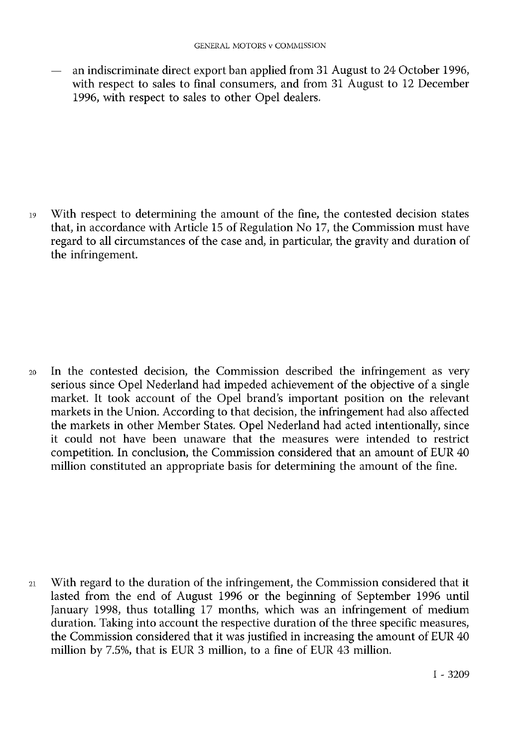— an indiscriminate direct export ban applied from 31 August to 24 October 1996, with respect to sales to final consumers, and from 31 August to 12 December 1996, with respect to sales to other Opel dealers.

<sup>19</sup> With respect to determining the amount of the fine, the contested decision states that, in accordance with Article 15 of Regulation No 17, the Commission must have regard to all circumstances of the case and, in particular, the gravity and duration of the infringement.

<sup>20</sup> In the contested decision, the Commission described the infringement as very serious since Opel Nederland had impeded achievement of the objective of a single market. It took account of the Opel brand's important position on the relevant markets in the Union. According to that decision, the infringement had also affected the markets in other Member States. Opel Nederland had acted intentionally, since it could not have been unaware that the measures were intended to restrict competition. In conclusion, the Commission considered that an amount of EUR 40 million constituted an appropriate basis for determining the amount of the fine.

<sup>21</sup> With regard to the duration of the infringement, the Commission considered that it lasted from the end of August 1996 or the beginning of September 1996 until January 1998, thus totalling 17 months, which was an infringement of medium duration. Taking into account the respective duration of the three specific measures, the Commission considered that it was justified in increasing the amount of EUR 40 million by 7.5%, that is EUR 3 million, to a fine of EUR 43 million.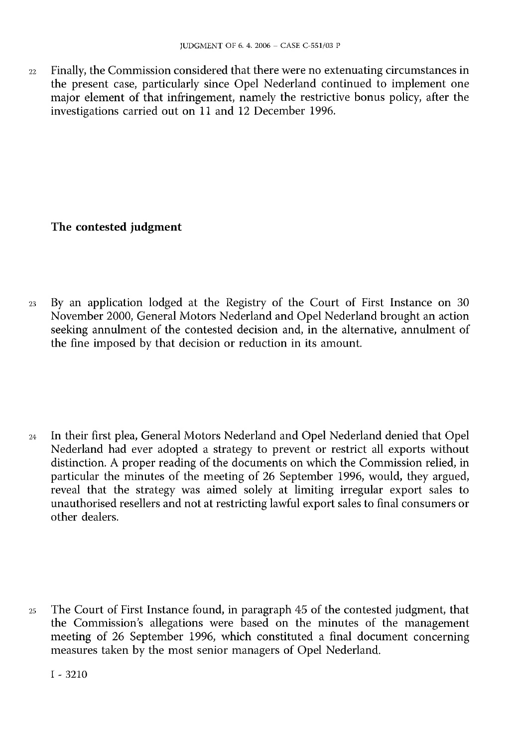<sup>22</sup> Finally, the Commission considered that there were no extenuating circumstances in the present case, particularly since Opel Nederland continued to implement one major element of that infringement, namely the restrictive bonus policy, after the investigations carried out on 11 and 12 December 1996.

# The contested judgment

<sup>23</sup> By an application lodged at the Registry of the Court of First Instance on 30 November 2000, General Motors Nederland and Opel Nederland brought an action seeking annulment of the contested decision and, in the alternative, annulment of the fine imposed by that decision or reduction in its amount.

<sup>24</sup> In their first plea, General Motors Nederland and Opel Nederland denied that Opel Nederland had ever adopted a strategy to prevent or restrict all exports without distinction. A proper reading of the documents on which the Commission relied, in particular the minutes of the meeting of 26 September 1996, would, they argued, reveal that the strategy was aimed solely at limiting irregular export sales to unauthorised resellers and not at restricting lawful export sales to final consumers or other dealers.

<sup>25</sup> The Court of First Instance found, in paragraph 45 of the contested judgment, that the Commission's allegations were based on the minutes of the management meeting of 26 September 1996, which constituted a final document concerning measures taken by the most senior managers of Opel Nederland.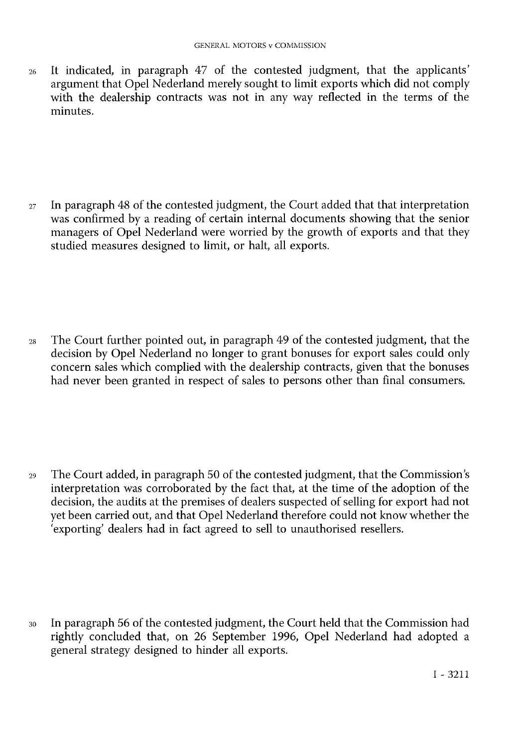<sup>26</sup> It indicated, in paragraph 47 of the contested judgment, that the applicants' argument that Opel Nederland merely sought to limit exports which did not comply with the dealership contracts was not in any way reflected in the terms of the minutes.

<sup>27</sup> In paragraph 48 of the contested judgment, the Court added that that interpretation was confirmed by a reading of certain internal documents showing that the senior managers of Opel Nederland were worried by the growth of exports and that they studied measures designed to limit, or halt, all exports.

<sup>28</sup> The Court further pointed out, in paragraph 49 of the contested judgment, that the decision by Opel Nederland no longer to grant bonuses for export sales could only concern sales which complied with the dealership contracts, given that the bonuses had never been granted in respect of sales to persons other than final consumers.

<sup>29</sup> The Court added, in paragraph 50 of the contested judgment, that the Commission's interpretation was corroborated by the fact that, at the time of the adoption of the decision, the audits at the premises of dealers suspected of selling for export had not yet been carried out, and that Opel Nederland therefore could not know whether the 'exporting' dealers had in fact agreed to sell to unauthorised resellers.

<sup>30</sup> In paragraph 56 of the contested judgment, the Court held that the Commission had rightly concluded that, on 26 September 1996, Opel Nederland had adopted a general strategy designed to hinder all exports.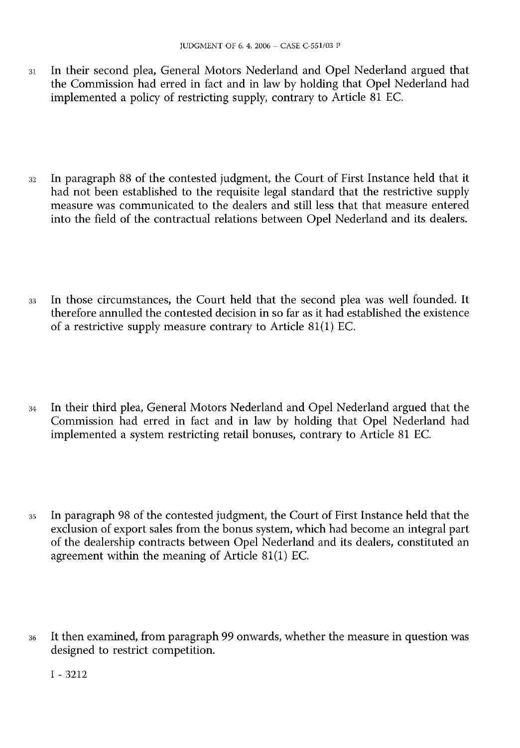- <sup>31</sup> In their second plea, General Motors Nederland and Opel Nederland argued that the Commission had erred in fact and in law by holding that Opel Nederland had implemented a policy of restricting supply, contrary to Article 81 EC.
- <sup>32</sup> In paragraph 88 of the contested judgment, the Court of First Instance held that it had not been established to the requisite legal standard that the restrictive supply measure was communicated to the dealers and still less that that measure entered into the field of the contractual relations between Opel Nederland and its dealers.
- <sup>33</sup> In those circumstances, the Court held that the second plea was well founded. It therefore annulled the contested decision in so far as it had established the existence of a restrictive supply measure contrary to Article 81(1) EC.
- <sup>34</sup> In their third plea, General Motors Nederland and Opel Nederland argued that the Commission had erred in fact and in law by holding that Opel Nederland had implemented a system restricting retail bonuses, contrary to Article 81 EC.
- <sup>35</sup> In paragraph 98 of the contested judgment, the Court of First Instance held that the exclusion of export sales from the bonus system, which had become an integral part of the dealership contracts between Opel Nederland and its dealers, constituted an agreement within the meaning of Article 81(1) EC.
- <sup>36</sup> It then examined, from paragraph 99 onwards, whether the measure in question was designed to restrict competition.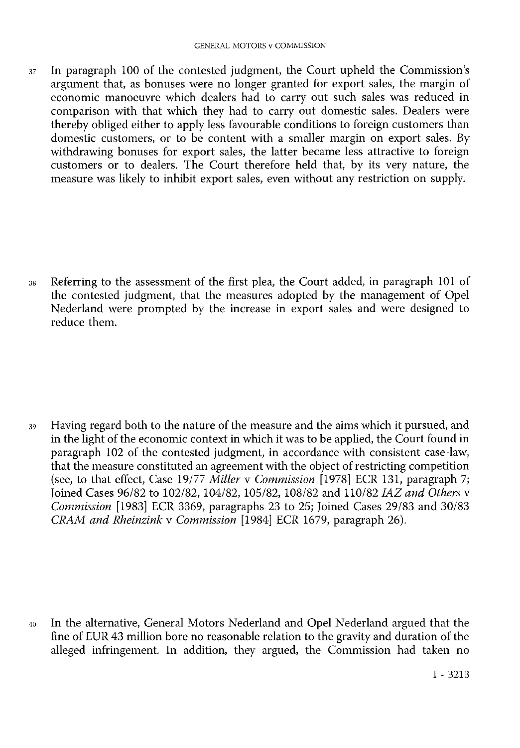<sup>37</sup> In paragraph 100 of the contested judgment, the Court upheld the Commission's argument that, as bonuses were no longer granted for export sales, the margin of economic manoeuvre which dealers had to carry out such sales was reduced in comparison with that which they had to carry out domestic sales. Dealers were thereby obliged either to apply less favourable conditions to foreign customers than domestic customers, or to be content with a smaller margin on export sales. By withdrawing bonuses for export sales, the latter became less attractive to foreign customers or to dealers. The Court therefore held that, by its very nature, the measure was likely to inhibit export sales, even without any restriction on supply.

<sup>38</sup> Referring to the assessment of the first plea, the Court added, in paragraph 101 of the contested judgment, that the measures adopted by the management of Opel Nederland were prompted by the increase in export sales and were designed to reduce them.

<sup>39</sup> Having regard both to the nature of the measure and the aims which it pursued, and in the light of the economic context in which it was to be applied, the Court found in paragraph 102 of the contested judgment, in accordance with consistent case-law, that the measure constituted an agreement with the object of restricting competition (see, to that effect, Case 19/77 *Miller* v *Commission* [1978] ECR 131, paragraph 7; Joined Cases 96/82 to 102/82, 104/82, 105/82, 108/82 and 110/82 *IAZ and Others* v *Commission* [1983] ECR 3369, paragraphs 23 to 25; Joined Cases 29/83 and 30/83 *CRAM and Rheinzink* v *Commission* [1984] ECR 1679, paragraph 26).

<sup>40</sup> In the alternative, General Motors Nederland and Opel Nederland argued that the fine of EUR 43 million bore no reasonable relation to the gravity and duration of the alleged infringement. In addition, they argued, the Commission had taken no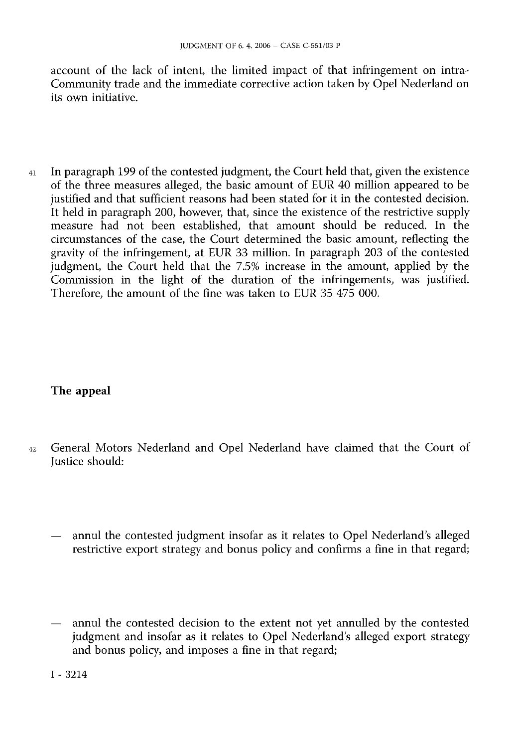account of the lack of intent, the limited impact of that infringement on intra-Community trade and the immediate corrective action taken by Opel Nederland on its own initiative.

<sup>41</sup> In paragraph 199 of the contested judgment, the Court held that, given the existence of the three measures alleged, the basic amount of EUR 40 million appeared to be justified and that sufficient reasons had been stated for it in the contested decision. It held in paragraph 200, however, that, since the existence of the restrictive supply measure had not been established, that amount should be reduced. In the circumstances of the case, the Court determined the basic amount, reflecting the gravity of the infringement, at EUR 33 million. In paragraph 203 of the contested judgment, the Court held that the 7.5% increase in the amount, applied by the Commission in the light of the duration of the infringements, was justified. Therefore, the amount of the fine was taken to EUR 35 475 000.

# The appeal

- <sup>42</sup> General Motors Nederland and Opel Nederland have claimed that the Court of Justice should:
	- annul the contested judgment insofar as it relates to Opel Nederland's alleged restrictive export strategy and bonus policy and confirms a fine in that regard;
	- annul the contested decision to the extent not yet annulled by the contested judgment and insofar as it relates to Opel Nederland's alleged export strategy and bonus policy, and imposes a fine in that regard;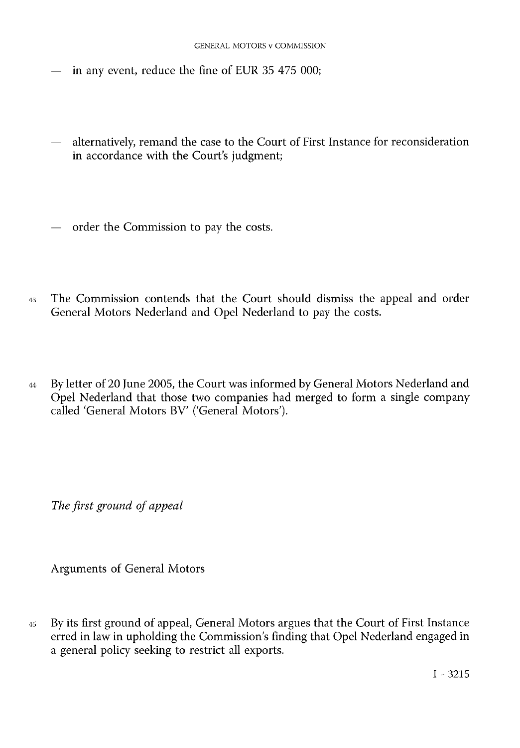- in any event, reduce the fine of EUR 35 475 000;
- alternatively, remand the case to the Court of First Instance for reconsideration in accordance with the Court's judgment;
- order the Commission to pay the costs.
- <sup>43</sup> The Commission contends that the Court should dismiss the appeal and order General Motors Nederland and Opel Nederland to pay the costs.
- <sup>44</sup> By letter of 20 June 2005, the Court was informed by General Motors Nederland and Opel Nederland that those two companies had merged to form a single company called 'General Motors BV' ('General Motors').

*The first ground of appeal*

Arguments of General Motors

<sup>45</sup> By its first ground of appeal, General Motors argues that the Court of First Instance erred in law in upholding the Commission's finding that Opel Nederland engaged in a general policy seeking to restrict all exports.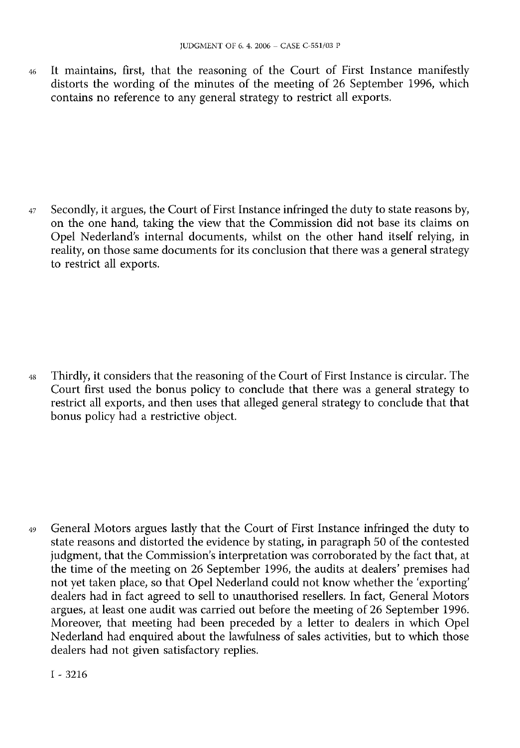<sup>46</sup> It maintains, first, that the reasoning of the Court of First Instance manifestly distorts the wording of the minutes of the meeting of 26 September 1996, which contains no reference to any general strategy to restrict all exports.

47 Secondly, it argues, the Court of First Instance infringed the duty to state reasons by, on the one hand, taking the view that the Commission did not base its claims on Opel Nederland's internal documents, whilst on the other hand itself relying, in reality, on those same documents for its conclusion that there was a general strategy to restrict all exports.

<sup>48</sup> Thirdly, it considers that the reasoning of the Court of First Instance is circular. The Court first used the bonus policy to conclude that there was a general strategy to restrict all exports, and then uses that alleged general strategy to conclude that that bonus policy had a restrictive object.

<sup>49</sup> General Motors argues lastly that the Court of First Instance infringed the duty to state reasons and distorted the evidence by stating, in paragraph 50 of the contested judgment, that the Commission's interpretation was corroborated by the fact that, at the time of the meeting on 26 September 1996, the audits at dealers' premises had not yet taken place, so that Opel Nederland could not know whether the 'exporting' dealers had in fact agreed to sell to unauthorised resellers. In fact, General Motors argues, at least one audit was carried out before the meeting of 26 September 1996. Moreover, that meeting had been preceded by a letter to dealers in which Opel Nederland had enquired about the lawfulness of sales activities, but to which those dealers had not given satisfactory replies.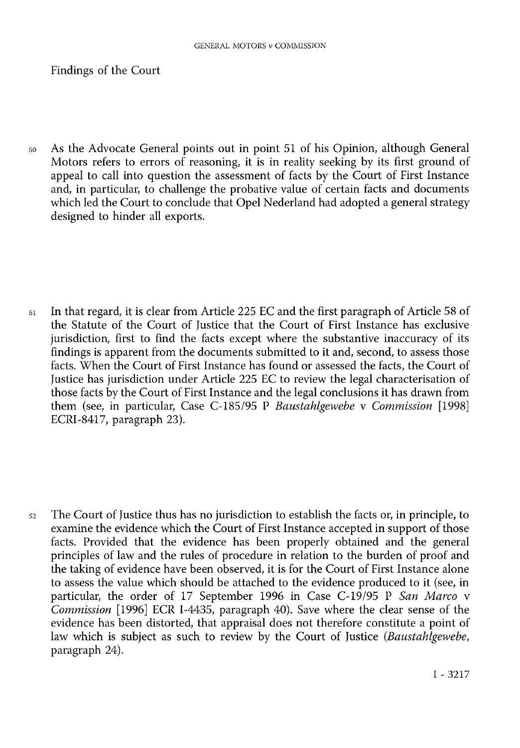Findings of the Court

<sup>50</sup> As the Advocate General points out in point 51 of his Opinion, although General Motors refers to errors of reasoning, it is in reality seeking by its first ground of appeal to call into question the assessment of facts by the Court of First Instance and, in particular, to challenge the probative value of certain facts and documents which led the Court to conclude that Opel Nederland had adopted a general strategy designed to hinder all exports.

<sup>51</sup> In that regard, it is clear from Article 225 EC and the first paragraph of Article 58 of the Statute of the Court of Justice that the Court of First Instance has exclusive jurisdiction, first to find the facts except where the substantive inaccuracy of its findings is apparent from the documents submitted to it and, second, to assess those facts. When the Court of First Instance has found or assessed the facts, the Court of Justice has jurisdiction under Article 225 EC to review the legal characterisation of those facts by the Court of First Instance and the legal conclusions it has drawn from them (see, in particular, Case C-185/95 P *Baustahlgewebe* v *Commission* [1998] ECRI-8417, paragraph 23).

<sup>52</sup> The Court of Justice thus has no jurisdiction to establish the facts or, in principle, to examine the evidence which the Court of First Instance accepted in support of those facts. Provided that the evidence has been properly obtained and the general principles of law and the rules of procedure in relation to the burden of proof and the taking of evidence have been observed, it is for the Court of First Instance alone to assess the value which should be attached to the evidence produced to it (see, in particular, the order of 17 September 1996 in Case C-19/95 P *San Marco* v *Commission* [1996] ECR I-4435, paragraph 40). Save where the clear sense of the evidence has been distorted, that appraisal does not therefore constitute a point of law which is subject as such to review by the Court of Justice (*Baustahlgewebe*, paragraph 24).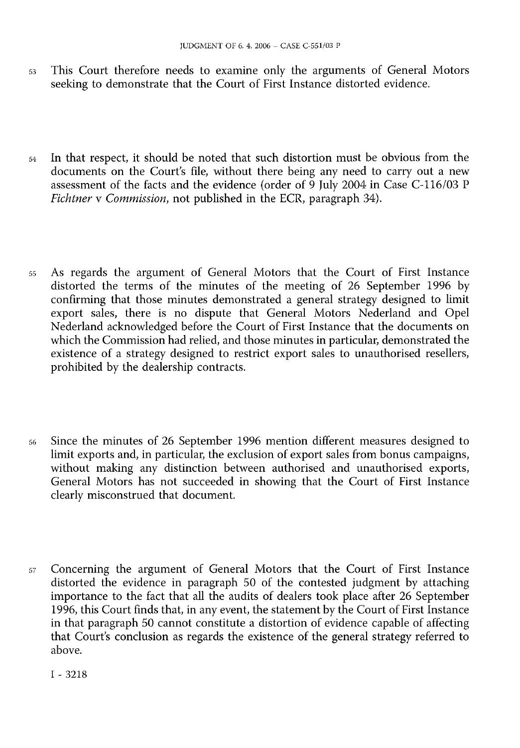- <sup>53</sup> This Court therefore needs to examine only the arguments of General Motors seeking to demonstrate that the Court of First Instance distorted evidence.
- <sup>54</sup> In that respect, it should be noted that such distortion must be obvious from the documents on the Court's file, without there being any need to carry out a new assessment of the facts and the evidence (order of 9 July 2004 in Case C-116/03 P *Fichtner* v *Commission*, not published in the ECR, paragraph 34).
- <sup>55</sup> As regards the argument of General Motors that the Court of First Instance distorted the terms of the minutes of the meeting of 26 September 1996 by confirming that those minutes demonstrated a general strategy designed to limit export sales, there is no dispute that General Motors Nederland and Opel Nederland acknowledged before the Court of First Instance that the documents on which the Commission had relied, and those minutes in particular, demonstrated the existence of a strategy designed to restrict export sales to unauthorised resellers, prohibited by the dealership contracts.
- <sup>56</sup> Since the minutes of 26 September 1996 mention different measures designed to limit exports and, in particular, the exclusion of export sales from bonus campaigns, without making any distinction between authorised and unauthorised exports, General Motors has not succeeded in showing that the Court of First Instance clearly misconstrued that document.
- <sup>57</sup> Concerning the argument of General Motors that the Court of First Instance distorted the evidence in paragraph 50 of the contested judgment by attaching importance to the fact that all the audits of dealers took place after 26 September 1996, this Court finds that, in any event, the statement by the Court of First Instance in that paragraph 50 cannot constitute a distortion of evidence capable of affecting that Court's conclusion as regards the existence of the general strategy referred to above.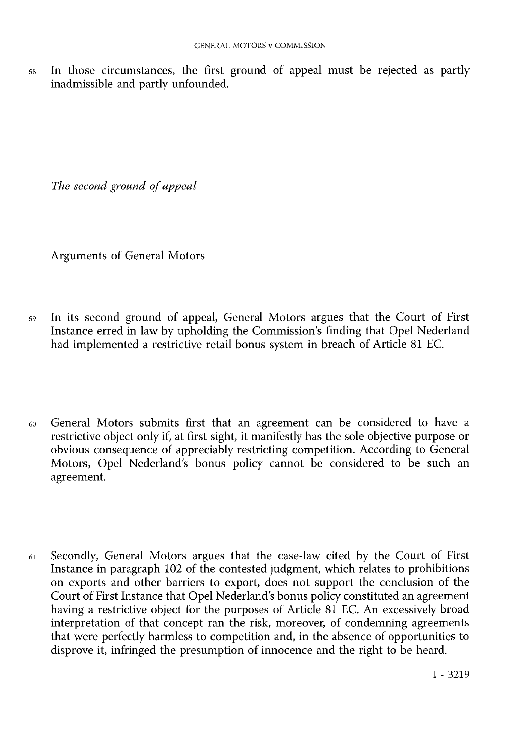<sup>58</sup> In those circumstances, the first ground of appeal must be rejected as partly inadmissible and partly unfounded.

*The second ground of appeal*

Arguments of General Motors

- <sup>59</sup> In its second ground of appeal, General Motors argues that the Court of First Instance erred in law by upholding the Commission's finding that Opel Nederland had implemented a restrictive retail bonus system in breach of Article 81 EC.
- <sup>60</sup> General Motors submits first that an agreement can be considered to have a restrictive object only if, at first sight, it manifestly has the sole objective purpose or obvious consequence of appreciably restricting competition. According to General Motors, Opel Nederland's bonus policy cannot be considered to be such an agreement.
- <sup>61</sup> Secondly, General Motors argues that the case-law cited by the Court of First Instance in paragraph 102 of the contested judgment, which relates to prohibitions on exports and other barriers to export, does not support the conclusion of the Court of First Instance that Opel Nederland's bonus policy constituted an agreement having a restrictive object for the purposes of Article 81 EC. An excessively broad interpretation of that concept ran the risk, moreover, of condemning agreements that were perfectly harmless to competition and, in the absence of opportunities to disprove it, infringed the presumption of innocence and the right to be heard.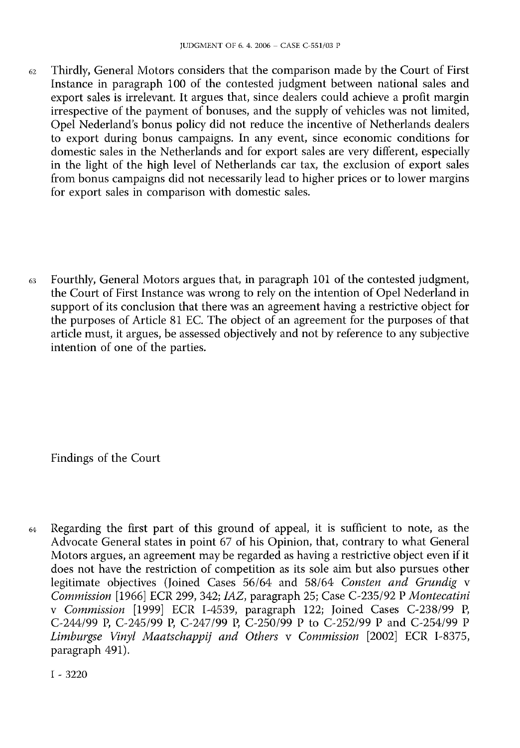- $62$  Thirdly, General Motors considers that the comparison made by the Court of First Instance in paragraph 100 of the contested judgment between national sales and export sales is irrelevant. It argues that, since dealers could achieve <sup>a</sup> profit margin irrespective of the payment of bonuses, and the supply of vehicles was not limited, Opel Nederland's bonus policy did not reduce the incentive of Netherlands dealers to export during bonus campaigns. In any event, since economic conditions for domestic sales in the Netherlands and for export sales are very different, especially in the light of the high level of Netherlands car tax, the exclusion of export sales from bonus campaigns did not necessarily lead to higher prices or to lower margins for export sales in comparison with domestic sales.
- <sup>63</sup> Fourthly, General Motors argues that, in paragraph 101 of the contested judgment, the Court of First Instance was wrong to rely on the intention of Opel Nederland in support of its conclusion that there was an agreement having a restrictive object for the purposes of Article 81 EC. The object of an agreement for the purposes of that article must, it argues, be assessed objectively and not by reference to any subjective intention of one of the parties.

Findings of the Court

<sup>64</sup> Regarding the first part of this ground of appeal, it is sufficient to note, as the Advocate General states in point 67 of his Opinion, that, contrary to what General Motors argues, an agreement may be regarded as having a restrictive object even if it does not have the restriction of competition as its sole aim but also pursues other legitimate objectives (Joined Cases 56/64 and 58/64 *Consten and Grundig* v *Commission* [1966] ECR 299, 342; *IAZ*, paragraph 25; Case C-235/92 P *Montecatini* v *Commission* [1999] ECR I-4539, paragraph 122; Joined Cases C-238/99 P, C-244/99 P, C-245/99 P, C-247/99 P, C-250/99 P to C-252/99 P and C-254/99 P *Limburgse Vinyl Maatschappij and Others* v *Commission* [2002] ECR I-8375, paragraph 491).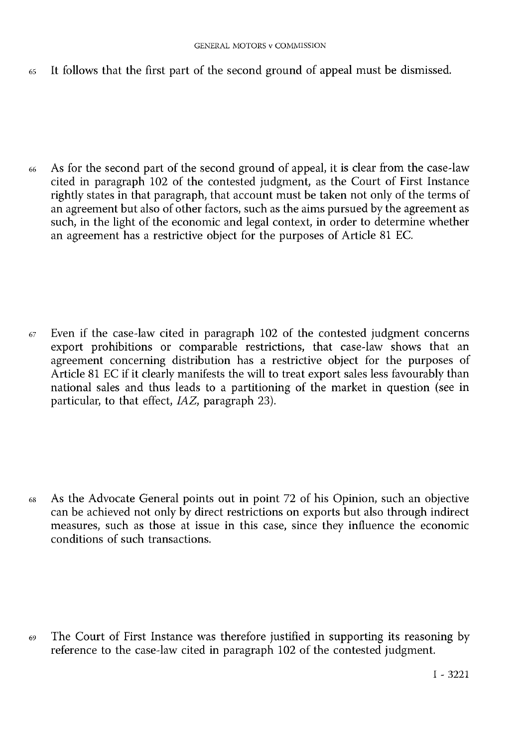<sup>65</sup> It follows that the first part of the second ground of appeal must be dismissed

<sup>66</sup> As for the second part of the second ground of appeal, it is clear from the case-law cited in paragraph 102 of the contested judgment, as the Court of First Instance rightly states in that paragraph, that account must be taken not only of the terms of an agreement but also of other factors, such as the aims pursued by the agreement as such, in the light of the economic and legal context, in order to determine whether an agreement has a restrictive object for the purposes of Article 81 EC.

 $67$  Even if the case-law cited in paragraph 102 of the contested judgment concerns export prohibitions or comparable restrictions, that case-law shows that an agreement concerning distribution has a restrictive object for the purposes of Article 81 EC if it clearly manifests the will to treat export sales less favourably than national sales and thus leads to a partitioning of the market in question (see in particular, to that effect, *IAZ*, paragraph 23).

<sup>68</sup> As the Advocate General points out in point 72 of his Opinion, such an objective can be achieved not only by direct restrictions on exports but also through indirect measures, such as those at issue in this case, since they influence the economic conditions of such transactions.

<sup>69</sup> The Court of First Instance was therefore justified in supporting its reasoning by reference to the case-law cited in paragraph 102 of the contested judgment.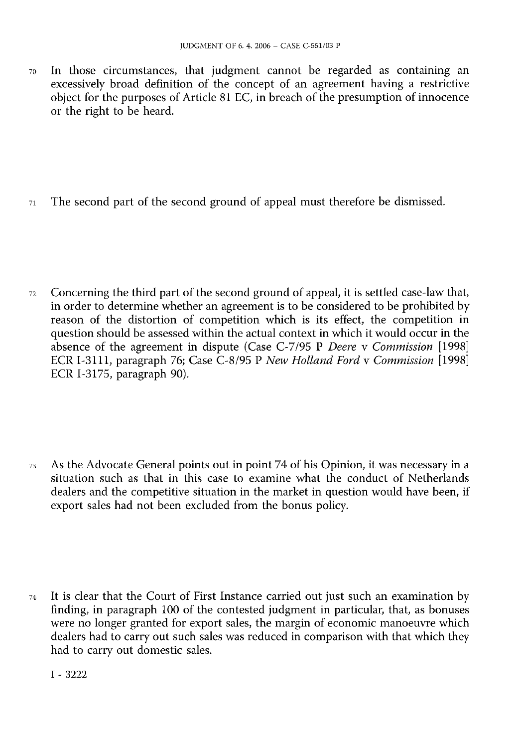<sup>70</sup> In those circumstances, that judgment cannot be regarded as containing an excessively broad definition of the concept of an agreement having a restrictive object for the purposes of Article 81 EC, in breach of the presumption of innocence or the right to be heard.

 $71$  The second part of the second ground of appeal must therefore be dismissed.

<sup>72</sup> Concerning the third part of the second ground of appeal, it is settled case-law that, in order to determine whether an agreement is to be considered to be prohibited by reason of the distortion of competition which is its effect, the competition in question should be assessed within the actual context in which it would occur in the absence of the agreement in dispute (Case C-7/95 P *Deere* v *Commission* [1998] ECR I-3111, paragraph 76; Case C-8/95 P *New Holland Ford* v *Commission* [1998] ECR I-3175, paragraph 90).

<sup>73</sup> As the Advocate General points out in point 74 of his Opinion, it was necessary in a situation such as that in this case to examine what the conduct of Netherlands dealers and the competitive situation in the market in question would have been, if export sales had not been excluded from the bonus policy.

<sup>74</sup> It is clear that the Court of First Instance carried out just such an examination by finding, in paragraph 100 of the contested judgment in particular, that, as bonuses were no longer granted for export sales, the margin of economic manoeuvre which dealers had to carry out such sales was reduced in comparison with that which they had to carry out domestic sales.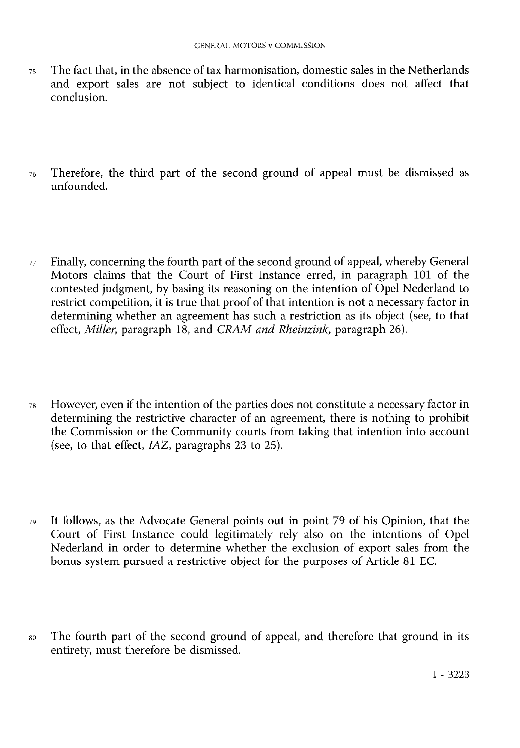- <sup>75</sup> The fact that, in the absence of tax harmonisation, domestic sales in the Netherlands and export sales are not subject to identical conditions does not affect that conclusion.
- <sup>76</sup> Therefore, the third part of the second ground of appeal must be dismissed as unfounded.
- $77$  Finally, concerning the fourth part of the second ground of appeal, whereby General Motors claims that the Court of First Instance erred, in paragraph 101 of the contested judgment, by basing its reasoning on the intention of Opel Nederland to restrict competition, it is true that proof of that intention is not <sup>a</sup> necessary factor in determining whether an agreement has such a restriction as its object (see, to that effect, *Miller*, paragraph 18, and *CRAM and Rheinzink*, paragraph 26).
- <sup>78</sup> However, even if the intention of the parties does not constitute a necessary factor in determining the restrictive character of an agreement, there is nothing to prohibit the Commission or the Community courts from taking that intention into account (see, to that effect, *IAZ*, paragraphs 23 to 25).
- <sup>79</sup> It follows, as the Advocate General points out in point 79 of his Opinion, that the Court of First Instance could legitimately rely also on the intentions of Opel Nederland in order to determine whether the exclusion of export sales from the bonus system pursued a restrictive object for the purposes of Article 81 EC.
- <sup>80</sup> The fourth part of the second ground of appeal, and therefore that ground in its entirety, must therefore be dismissed.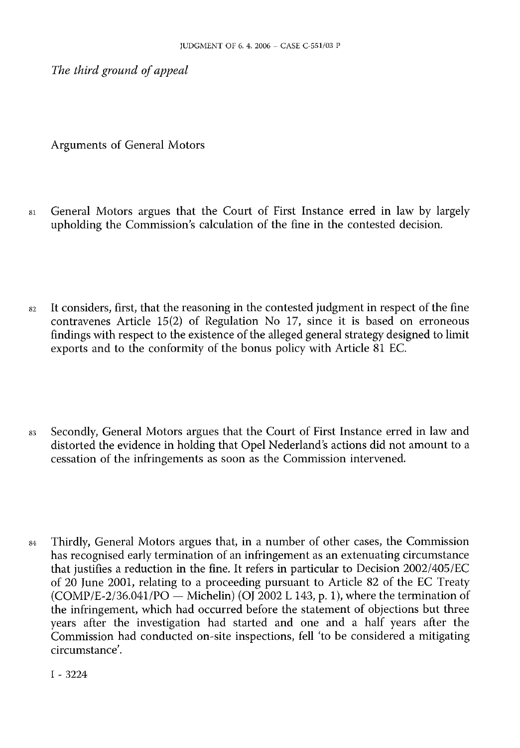*The third ground of appeal*

Arguments of General Motors

- <sup>81</sup> General Motors argues that the Court of First Instance erred in law by largely upholding the Commission's calculation of the fine in the contested decision.
- $82$  It considers, first, that the reasoning in the contested judgment in respect of the fine contravenes Article 15(2) of Regulation No 17, since it is based on erroneous findings with respect to the existence of the alleged general strategy designed to limit exports and to the conformity of the bonus policy with Article 81 EC.
- 83 Secondly, General Motors argues that the Court of First Instance erred in law and distorted the evidence in holding that Opel Nederland's actions did not amount to a cessation of the infringements as soon as the Commission intervened.
- $84$  Thirdly, General Motors argues that, in a number of other cases, the Commission has recognised early termination of an infringement as an extenuating circumstance that justifies <sup>a</sup> reduction in the fine. It refers in particular to Decision 2002/405/EC of 20 June 2001, relating to a proceeding pursuant to Article 82 of the EC Treaty  $(COMP/E-2/36.041/PO-Michelin)$  (OJ 2002 L 143, p. 1), where the termination of the infringement, which had occurred before the statement of objections but three years after the investigation had started and one and a half years after the Commission had conducted on-site inspections, fell 'to be considered a mitigating circumstance'.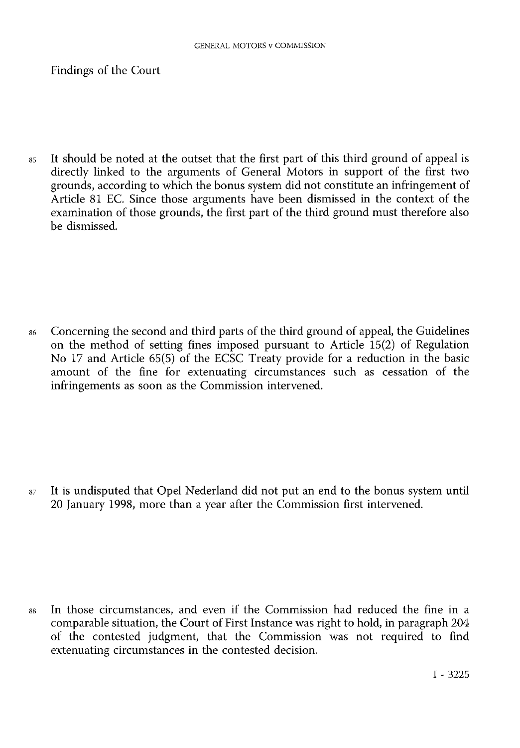Findings of the Court

<sup>85</sup> It should be noted at the outset that the first part of this third ground of appeal is directly linked to the arguments of General Motors in support of the first two grounds, according to which the bonus system did not constitute an infringement of Article 81 EC. Since those arguments have been dismissed in the context of the examination of those grounds, the first part of the third ground must therefore also be dismissed.

<sup>86</sup> Concerning the second and third parts of the third ground of appeal, the Guidelines on the method of setting fines imposed pursuant to Article 15(2) of Regulation No 17 and Article 65(5) of the ECSC Treaty provide for a reduction in the basic amount of the fine for extenuating circumstances such as cessation of the infringements as soon as the Commission intervened.

<sup>87</sup> It is undisputed that Opel Nederland did not put an end to the bonus system until 20 January 1998, more than a year after the Commission first intervened.

<sup>88</sup> In those circumstances, and even if the Commission had reduced the fine in <sup>a</sup> comparable situation, the Court of First Instance was right to hold, in paragraph 204 of the contested judgment, that the Commission was not required to find extenuating circumstances in the contested decision.